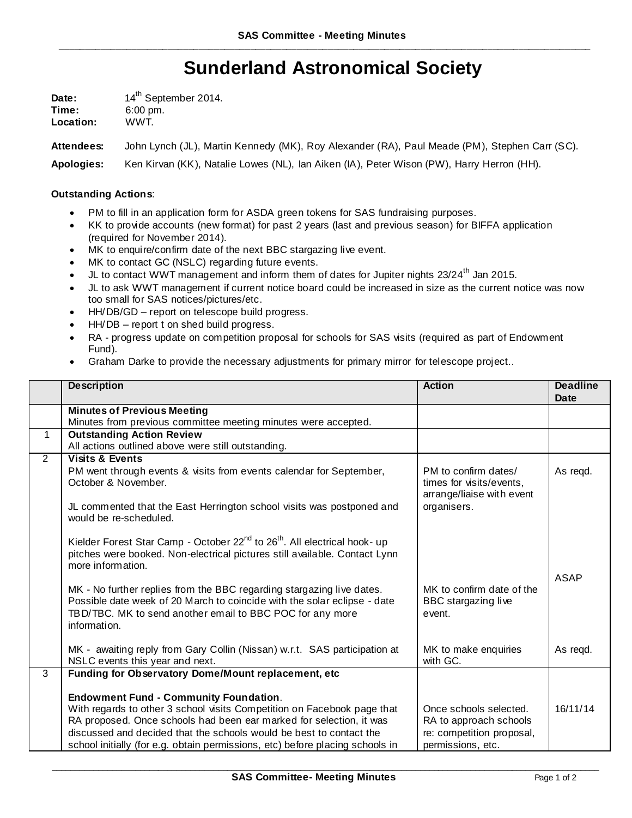## **Sunderland Astronomical Society**

| Date:     | 14 <sup>th</sup> September 2014. |  |
|-----------|----------------------------------|--|
| Time:     | $6:00 \text{ pm}$ .              |  |
| Location: | WWT.                             |  |

**Attendees:** John Lynch (JL), Martin Kennedy (MK), Roy Alexander (RA), Paul Meade (PM), Stephen Carr (SC).

**Apologies:** Ken Kirvan (KK), Natalie Lowes (NL), Ian Aiken (IA), Peter Wison (PW), Harry Herron (HH).

## **Outstanding Actions**:

- PM to fill in an application form for ASDA green tokens for SAS fundraising purposes.
- KK to provide accounts (new format) for past 2 years (last and previous season) for BIFFA application (required for November 2014).
- MK to enquire/confirm date of the next BBC stargazing live event.
- MK to contact GC (NSLC) regarding future events.
- JL to contact WWT management and inform them of dates for Jupiter nights  $23/24^{\text{th}}$  Jan 2015.
- JL to ask WWT management if current notice board could be increased in size as the current notice was now too small for SAS notices/pictures/etc.
- HH/DB/GD report on telescope build progress.
- HH/DB report t on shed build progress.
- RA progress update on competition proposal for schools for SAS visits (required as part of Endowment Fund).
- Graham Darke to provide the necessary adjustments for primary mirror for telescope project..

|                | <b>Description</b>                                                                                                                    | <b>Action</b>                 | <b>Deadline</b><br>Date |
|----------------|---------------------------------------------------------------------------------------------------------------------------------------|-------------------------------|-------------------------|
|                | <b>Minutes of Previous Meeting</b>                                                                                                    |                               |                         |
|                | Minutes from previous committee meeting minutes were accepted.                                                                        |                               |                         |
| $\mathbf 1$    | <b>Outstanding Action Review</b>                                                                                                      |                               |                         |
|                | All actions outlined above were still outstanding.                                                                                    |                               |                         |
| $\overline{2}$ | <b>Visits &amp; Events</b>                                                                                                            |                               |                         |
|                | PM went through events & visits from events calendar for September,                                                                   | PM to confirm dates/          | As regd.                |
|                | October & November.                                                                                                                   | times for visits/events,      |                         |
|                |                                                                                                                                       | arrange/liaise with event     |                         |
|                | JL commented that the East Herrington school visits was postponed and<br>would be re-scheduled.                                       | organisers.                   |                         |
|                |                                                                                                                                       |                               |                         |
|                | Kielder Forest Star Camp - October 22 <sup>nd</sup> to 26 <sup>th</sup> . All electrical hook- up                                     |                               |                         |
|                | pitches were booked. Non-electrical pictures still available. Contact Lynn                                                            |                               |                         |
|                | more information.                                                                                                                     |                               |                         |
|                |                                                                                                                                       |                               | <b>ASAP</b>             |
|                | MK - No further replies from the BBC regarding stargazing live dates.                                                                 | MK to confirm date of the     |                         |
|                | Possible date week of 20 March to coincide with the solar eclipse - date<br>TBD/TBC. MK to send another email to BBC POC for any more | BBC stargazing live<br>event. |                         |
|                | information.                                                                                                                          |                               |                         |
|                |                                                                                                                                       |                               |                         |
|                | MK - awaiting reply from Gary Collin (Nissan) w.r.t. SAS participation at                                                             | MK to make enquiries          | As regd.                |
|                | NSLC events this year and next.                                                                                                       | with GC.                      |                         |
| 3              | Funding for Observatory Dome/Mount replacement, etc                                                                                   |                               |                         |
|                |                                                                                                                                       |                               |                         |
|                | <b>Endowment Fund - Community Foundation.</b>                                                                                         |                               |                         |
|                | With regards to other 3 school visits Competition on Facebook page that                                                               | Once schools selected.        | 16/11/14                |
|                | RA proposed. Once schools had been ear marked for selection, it was                                                                   | RA to approach schools        |                         |
|                | discussed and decided that the schools would be best to contact the                                                                   | re: competition proposal,     |                         |
|                | school initially (for e.g. obtain permissions, etc) before placing schools in                                                         | permissions, etc.             |                         |

 $\_$  , and the state of the state of the state of the state of the state of the state of the state of the state of the state of the state of the state of the state of the state of the state of the state of the state of the